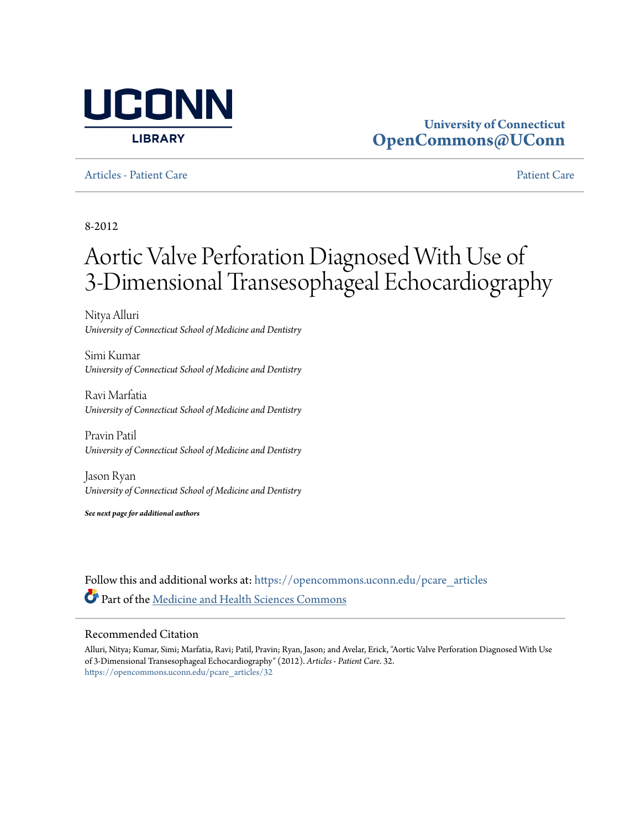

# **University of Connecticut [OpenCommons@UConn](https://opencommons.uconn.edu?utm_source=opencommons.uconn.edu%2Fpcare_articles%2F32&utm_medium=PDF&utm_campaign=PDFCoverPages)**

[Articles - Patient Care](https://opencommons.uconn.edu/pcare_articles?utm_source=opencommons.uconn.edu%2Fpcare_articles%2F32&utm_medium=PDF&utm_campaign=PDFCoverPages) [Patient Care](https://opencommons.uconn.edu/pcare?utm_source=opencommons.uconn.edu%2Fpcare_articles%2F32&utm_medium=PDF&utm_campaign=PDFCoverPages) Patient Care Patient Care Patient Care Patient Care Patient Care Patient

8-2012

# Aortic Valve Perforation Diagnosed With Use of 3-Dimensional Transesophageal Echocardiography

Nitya Alluri *University of Connecticut School of Medicine and Dentistry*

Simi Kumar *University of Connecticut School of Medicine and Dentistry*

Ravi Marfatia *University of Connecticut School of Medicine and Dentistry*

Pravin Patil *University of Connecticut School of Medicine and Dentistry*

Jason Ryan *University of Connecticut School of Medicine and Dentistry*

*See next page for additional authors*

Follow this and additional works at: [https://opencommons.uconn.edu/pcare\\_articles](https://opencommons.uconn.edu/pcare_articles?utm_source=opencommons.uconn.edu%2Fpcare_articles%2F32&utm_medium=PDF&utm_campaign=PDFCoverPages) Part of the [Medicine and Health Sciences Commons](http://network.bepress.com/hgg/discipline/648?utm_source=opencommons.uconn.edu%2Fpcare_articles%2F32&utm_medium=PDF&utm_campaign=PDFCoverPages)

### Recommended Citation

Alluri, Nitya; Kumar, Simi; Marfatia, Ravi; Patil, Pravin; Ryan, Jason; and Avelar, Erick, "Aortic Valve Perforation Diagnosed With Use of 3-Dimensional Transesophageal Echocardiography" (2012). *Articles - Patient Care*. 32. [https://opencommons.uconn.edu/pcare\\_articles/32](https://opencommons.uconn.edu/pcare_articles/32?utm_source=opencommons.uconn.edu%2Fpcare_articles%2F32&utm_medium=PDF&utm_campaign=PDFCoverPages)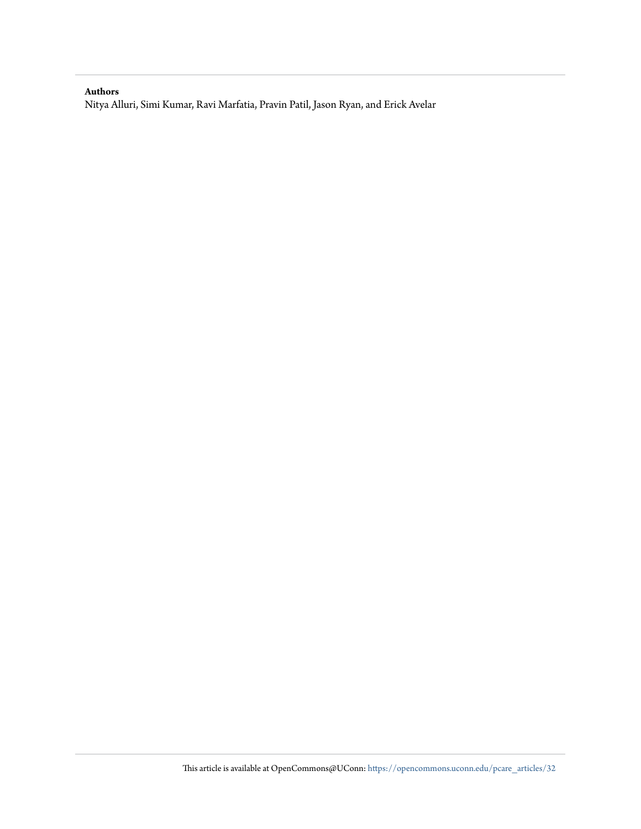### **Authors**

Nitya Alluri, Simi Kumar, Ravi Marfatia, Pravin Patil, Jason Ryan, and Erick Avelar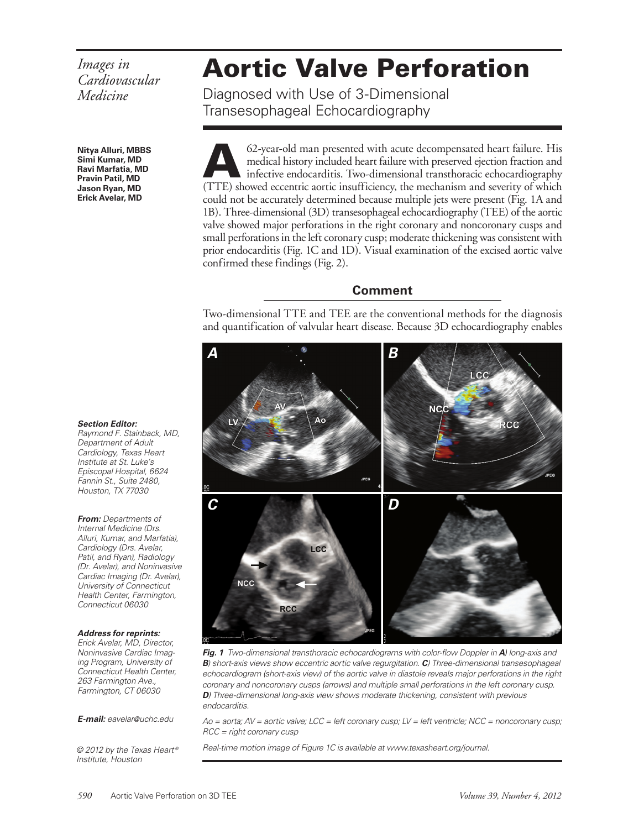# *Images in Cardiovascular Medicine*

**Nitya Alluri, MBBS Simi Kumar, MD Ravi Marfatia, MD Pravin Patil, MD Jason Ryan, MD Erick Avelar, MD**

#### **Section Editor:**

Raymond F. Stainback, MD, Department of Adult Cardiology, Texas Heart Institute at St. Luke's Episcopal Hospital, 6624 Fannin St., Suite 2480, Houston, TX 77030

**From:** Departments of Internal Medicine (Drs. Alluri, Kumar, and Marfatia), Cardiology (Drs. Avelar, Patil, and Ryan), Radiology (Dr. Avelar), and Noninvasive Cardiac Imaging (Dr. Avelar), University of Connecticut Health Center, Farmington, Connecticut 06030

#### **Address for reprints:**

Erick Avelar, MD, Director, Noninvasive Cardiac Imaging Program, University of Connecticut Health Center, 263 Farmington Ave., Farmington, CT 06030

**E-mail:** eavelar@uchc.edu

© 2012 by the Texas Heart ® Institute, Houston

# Aortic Valve Perforation

Diagnosed with Use of 3-Dimensional Transesophageal Echocardiography

62-year-old man presented with acute decompensated heart failure. His<br>medical history included heart failure with preserved ejection fraction and<br>infective endocarditis. Two-dimensional transthoracic echocardiography<br>(TTE) medical history included heart failure with preserved ejection fraction and infective endocarditis. Two-dimensional transthoracic echocardiography (TTE) showed eccentric aortic insufficiency, the mechanism and severity of which could not be accurately determined because multiple jets were present (Fig. 1A and 1B). Three-dimensional (3D) transesophageal echocardiography (TEE) of the aortic valve showed major perforations in the right coronary and noncoronary cusps and small perforations in the left coronary cusp; moderate thickening was consistent with prior endocarditis (Fig. 1C and 1D). Visual examination of the excised aortic valve confirmed these findings (Fig. 2).

## **Comment**

Two-dimensional TTE and TEE are the conventional methods for the diagnosis and quantification of valvular heart disease. Because 3D echocardiography enables



**Fig. 1** Two-dimensional transthoracic echocardiograms with color-flow Doppler in **A**) long-axis and **B**) short-axis views show eccentric aortic valve regurgitation. **C**) Three-dimensional transesophageal echocardiogram (short-axis view) of the aortic valve in diastole reveals major perforations in the right coronary and noncoronary cusps (arrows) and multiple small perforations in the left coronary cusp. **D**) Three-dimensional long-axis view shows moderate thickening, consistent with previous endocarditis.

 $A$ o = aorta;  $AV$  = aortic valve; LCC = left coronary cusp; LV = left ventricle; NCC = noncoronary cusp; RCC = right coronary cusp

Real-time motion image of Figure 1C is available at www.texasheart.org/journal.